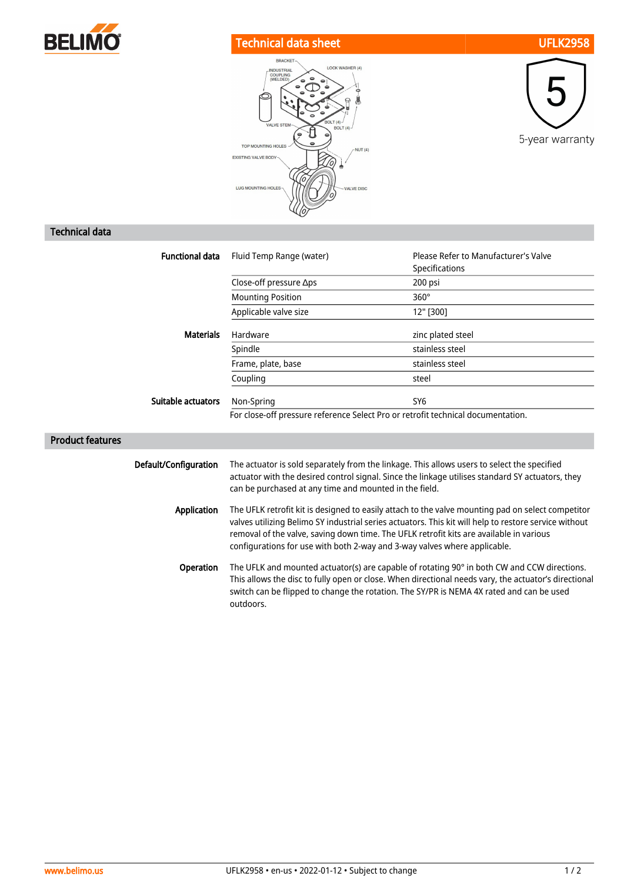

## Technical data sheet UFLK2958





## Technical data

| <b>Functional data</b>  | Fluid Temp Range (water)                                                                                                                                                                                                                                                                                                                                                           | Please Refer to Manufacturer's Valve<br>Specifications |
|-------------------------|------------------------------------------------------------------------------------------------------------------------------------------------------------------------------------------------------------------------------------------------------------------------------------------------------------------------------------------------------------------------------------|--------------------------------------------------------|
|                         | Close-off pressure ∆ps                                                                                                                                                                                                                                                                                                                                                             | 200 psi                                                |
|                         | <b>Mounting Position</b>                                                                                                                                                                                                                                                                                                                                                           | $360^\circ$                                            |
|                         | Applicable valve size                                                                                                                                                                                                                                                                                                                                                              | 12" [300]                                              |
| <b>Materials</b>        | Hardware                                                                                                                                                                                                                                                                                                                                                                           | zinc plated steel                                      |
|                         | Spindle                                                                                                                                                                                                                                                                                                                                                                            | stainless steel                                        |
|                         | Frame, plate, base                                                                                                                                                                                                                                                                                                                                                                 | stainless steel                                        |
|                         | Coupling                                                                                                                                                                                                                                                                                                                                                                           | steel                                                  |
| Suitable actuators      | Non-Spring                                                                                                                                                                                                                                                                                                                                                                         | SY <sub>6</sub>                                        |
|                         | For close-off pressure reference Select Pro or retrofit technical documentation.                                                                                                                                                                                                                                                                                                   |                                                        |
| <b>Product features</b> |                                                                                                                                                                                                                                                                                                                                                                                    |                                                        |
| Default/Configuration   | The actuator is sold separately from the linkage. This allows users to select the specified<br>actuator with the desired control signal. Since the linkage utilises standard SY actuators, they<br>can be purchased at any time and mounted in the field.                                                                                                                          |                                                        |
| <b>Application</b>      | The UFLK retrofit kit is designed to easily attach to the valve mounting pad on select competitor<br>valves utilizing Belimo SY industrial series actuators. This kit will help to restore service without<br>removal of the valve, saving down time. The UFLK retrofit kits are available in various<br>configurations for use with both 2-way and 3-way valves where applicable. |                                                        |
| Operation               | The UFLK and mounted actuator(s) are capable of rotating 90° in both CW and CCW directions.<br>This allows the disc to fully open or close. When directional needs vary, the actuator's directional<br>switch can be flipped to change the rotation. The SY/PR is NEMA 4X rated and can be used                                                                                    |                                                        |

outdoors.